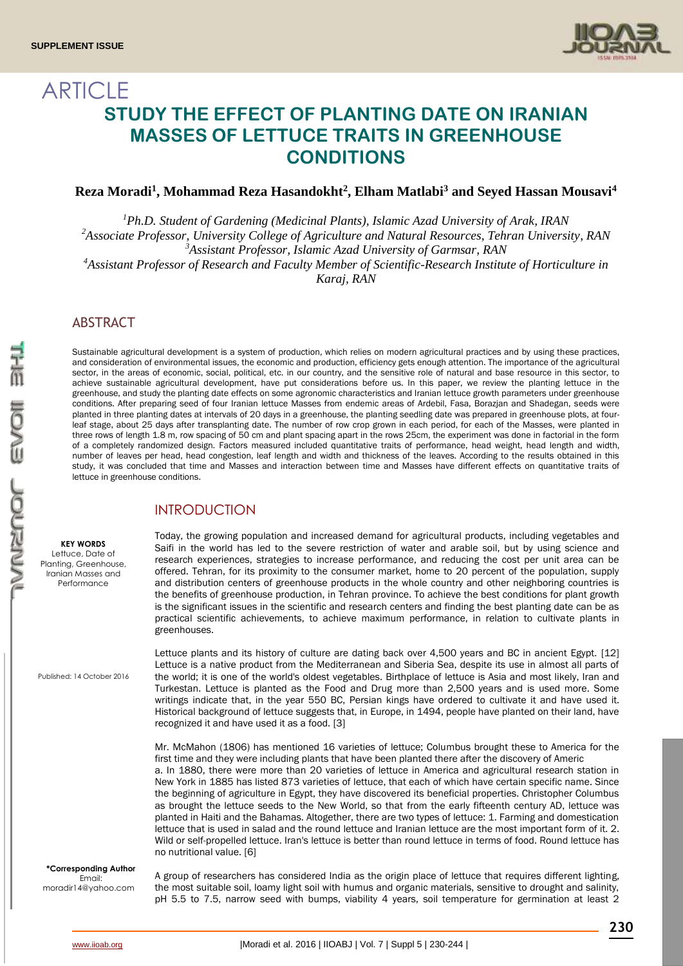

# ARTICLE **STUDY THE EFFECT OF PLANTING DATE ON IRANIAN MASSES OF LETTUCE TRAITS IN GREENHOUSE CONDITIONS**

## **Reza Moradi<sup>1</sup> , Mohammad Reza Hasandokht<sup>2</sup> , Elham Matlabi<sup>3</sup> and Seyed Hassan Mousavi<sup>4</sup>**

*<sup>1</sup>Ph.D. Student of Gardening (Medicinal Plants), Islamic Azad University of Arak, IRAN Associate Professor, University College of Agriculture and Natural Resources, Tehran University, RAN <sup>2</sup> Assistant Professor, Islamic Azad University of Garmsar, RAN <sup>3</sup> Assistant Professor of Research and Faculty Member of Scientific-Research Institute of Horticulture in <sup>4</sup> Karaj, RAN*

## **ABSTRACT**

Sustainable agricultural development is a system of production, which relies on modern agricultural practices and by using these practices, and consideration of environmental issues, the economic and production, efficiency gets enough attention. The importance of the agricultural sector, in the areas of economic, social, political, etc. in our country, and the sensitive role of natural and base resource in this sector, to achieve sustainable agricultural development, have put considerations before us. In this paper, we review the planting lettuce in the greenhouse, and study the planting date effects on some agronomic characteristics and Iranian lettuce growth parameters under greenhouse conditions. After preparing seed of four Iranian lettuce Masses from endemic areas of Ardebil, Fasa, Borazjan and Shadegan, seeds were planted in three planting dates at intervals of 20 days in a greenhouse, the planting seedling date was prepared in greenhouse plots, at fourleaf stage, about 25 days after transplanting date. The number of row crop grown in each period, for each of the Masses, were planted in three rows of length 1.8 m, row spacing of 50 cm and plant spacing apart in the rows 25cm, the experiment was done in factorial in the form of a completely randomized design. Factors measured included quantitative traits of performance, head weight, head length and width, number of leaves per head, head congestion, leaf length and width and thickness of the leaves. According to the results obtained in this study, it was concluded that time and Masses and interaction between time and Masses have different effects on quantitative traits of lettuce in greenhouse conditions.

## INTRODUCTION

**KEY WORDS** Lettuce, Date of Planting, Greenhouse, Iranian Masses and Performance

Published: 14 October 2016

**\*Corresponding Author** Email: moradir14@yahoo.com

Today, the growing population and increased demand for agricultural products, including vegetables and Saifi in the world has led to the severe restriction of water and arable soil, but by using science and research experiences, strategies to increase performance, and reducing the cost per unit area can be offered. Tehran, for its proximity to the consumer market, home to 20 percent of the population, supply and distribution centers of greenhouse products in the whole country and other neighboring countries is the benefits of greenhouse production, in Tehran province. To achieve the best conditions for plant growth is the significant issues in the scientific and research centers and finding the best planting date can be as practical scientific achievements, to achieve maximum performance, in relation to cultivate plants in greenhouses.

Lettuce plants and its history of culture are dating back over 4,500 years and BC in ancient Egypt. [12] Lettuce is a native product from the Mediterranean and Siberia Sea, despite its use in almost all parts of the world; it is one of the world's oldest vegetables. Birthplace of lettuce is Asia and most likely, Iran and Turkestan. Lettuce is planted as the Food and Drug more than 2,500 years and is used more. Some writings indicate that, in the year 550 BC, Persian kings have ordered to cultivate it and have used it. Historical background of lettuce suggests that, in Europe, in 1494, people have planted on their land, have recognized it and have used it as a food. [3]

Mr. McMahon (1806) has mentioned 16 varieties of lettuce; Columbus brought these to America for the first time and they were including plants that have been planted there after the discovery of Americ a. In 1880, there were more than 20 varieties of lettuce in America and agricultural research station in New York in 1885 has listed 873 varieties of lettuce, that each of which have certain specific name. Since the beginning of agriculture in Egypt, they have discovered its beneficial properties. Christopher Columbus as brought the lettuce seeds to the New World, so that from the early fifteenth century AD, lettuce was planted in Haiti and the Bahamas. Altogether, there are two types of lettuce: 1. Farming and domestication lettuce that is used in salad and the round lettuce and Iranian lettuce are the most important form of it. 2. Wild or self-propelled lettuce. Iran's lettuce is better than round lettuce in terms of food. Round lettuce has no nutritional value. [6]

A group of researchers has considered India as the origin place of lettuce that requires different lighting, the most suitable soil, loamy light soil with humus and organic materials, sensitive to drought and salinity, pH 5.5 to 7.5, narrow seed with bumps, viability 4 years, soil temperature for germination at least 2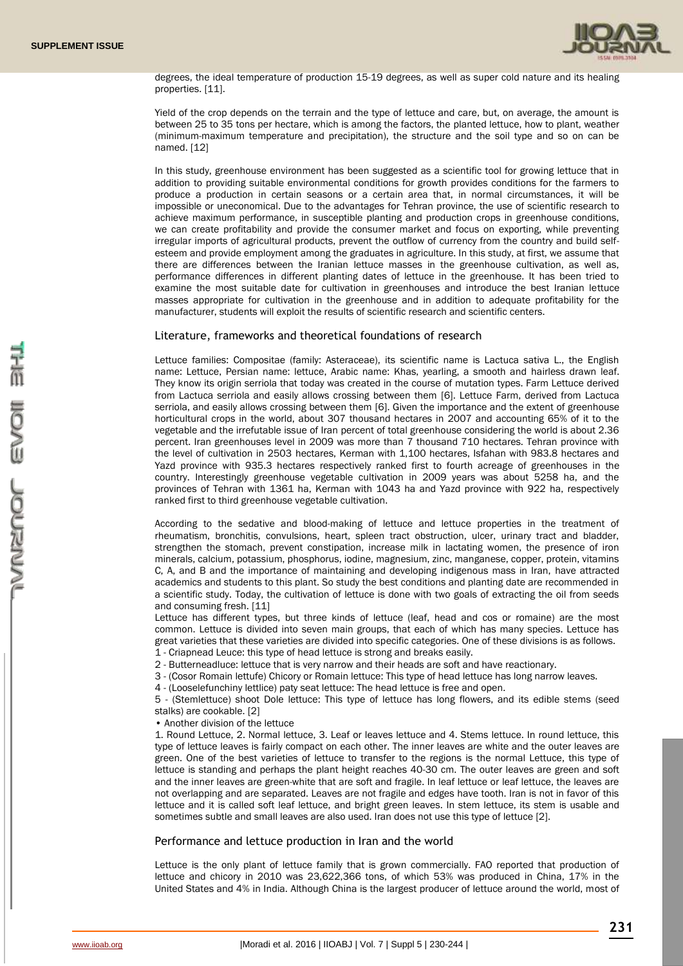

degrees, the ideal temperature of production 15-19 degrees, as well as super cold nature and its healing properties. [11].

Yield of the crop depends on the terrain and the type of lettuce and care, but, on average, the amount is between 25 to 35 tons per hectare, which is among the factors, the planted lettuce, how to plant, weather (minimum-maximum temperature and precipitation), the structure and the soil type and so on can be named. [12]

In this study, greenhouse environment has been suggested as a scientific tool for growing lettuce that in addition to providing suitable environmental conditions for growth provides conditions for the farmers to produce a production in certain seasons or a certain area that, in normal circumstances, it will be impossible or uneconomical. Due to the advantages for Tehran province, the use of scientific research to achieve maximum performance, in susceptible planting and production crops in greenhouse conditions, we can create profitability and provide the consumer market and focus on exporting, while preventing irregular imports of agricultural products, prevent the outflow of currency from the country and build selfesteem and provide employment among the graduates in agriculture. In this study, at first, we assume that there are differences between the Iranian lettuce masses in the greenhouse cultivation, as well as, performance differences in different planting dates of lettuce in the greenhouse. It has been tried to examine the most suitable date for cultivation in greenhouses and introduce the best Iranian lettuce masses appropriate for cultivation in the greenhouse and in addition to adequate profitability for the manufacturer, students will exploit the results of scientific research and scientific centers.

### Literature, frameworks and theoretical foundations of research

Lettuce families: Compositae (family: Asteraceae), its scientific name is Lactuca sativa L., the English name: Lettuce, Persian name: lettuce, Arabic name: Khas, yearling, a smooth and hairless drawn leaf. They know its origin serriola that today was created in the course of mutation types. Farm Lettuce derived from Lactuca serriola and easily allows crossing between them [6]. Lettuce Farm, derived from Lactuca serriola, and easily allows crossing between them [6]. Given the importance and the extent of greenhouse horticultural crops in the world, about 307 thousand hectares in 2007 and accounting 65% of it to the vegetable and the irrefutable issue of Iran percent of total greenhouse considering the world is about 2.36 percent. Iran greenhouses level in 2009 was more than 7 thousand 710 hectares. Tehran province with the level of cultivation in 2503 hectares, Kerman with 1,100 hectares, Isfahan with 983.8 hectares and Yazd province with 935.3 hectares respectively ranked first to fourth acreage of greenhouses in the country. Interestingly greenhouse vegetable cultivation in 2009 years was about 5258 ha, and the provinces of Tehran with 1361 ha, Kerman with 1043 ha and Yazd province with 922 ha, respectively ranked first to third greenhouse vegetable cultivation.

According to the sedative and blood-making of lettuce and lettuce properties in the treatment of rheumatism, bronchitis, convulsions, heart, spleen tract obstruction, ulcer, urinary tract and bladder, strengthen the stomach, prevent constipation, increase milk in lactating women, the presence of iron minerals, calcium, potassium, phosphorus, iodine, magnesium, zinc, manganese, copper, protein, vitamins C, A, and B and the importance of maintaining and developing indigenous mass in Iran, have attracted academics and students to this plant. So study the best conditions and planting date are recommended in a scientific study. Today, the cultivation of lettuce is done with two goals of extracting the oil from seeds and consuming fresh. [11]

Lettuce has different types, but three kinds of lettuce (leaf, head and cos or romaine) are the most common. Lettuce is divided into seven main groups, that each of which has many species. Lettuce has great varieties that these varieties are divided into specific categories. One of these divisions is as follows.

- 1 Criapnead Leuce: this type of head lettuce is strong and breaks easily.
- 2 Butterneadluce: lettuce that is very narrow and their heads are soft and have reactionary.
- 3 (Cosor Romain lettufe) Chicory or Romain lettuce: This type of head lettuce has long narrow leaves.
- 4 (Looselefunchiny lettlice) paty seat lettuce: The head lettuce is free and open.

5 - (Stemlettuce) shoot Dole lettuce: This type of lettuce has long flowers, and its edible stems (seed stalks) are cookable. [2]

• Another division of the lettuce

1. Round Lettuce, 2. Normal lettuce, 3. Leaf or leaves lettuce and 4. Stems lettuce. In round lettuce, this type of lettuce leaves is fairly compact on each other. The inner leaves are white and the outer leaves are green. One of the best varieties of lettuce to transfer to the regions is the normal Lettuce, this type of lettuce is standing and perhaps the plant height reaches 40-30 cm. The outer leaves are green and soft and the inner leaves are green-white that are soft and fragile. In leaf lettuce or leaf lettuce, the leaves are not overlapping and are separated. Leaves are not fragile and edges have tooth. Iran is not in favor of this lettuce and it is called soft leaf lettuce, and bright green leaves. In stem lettuce, its stem is usable and sometimes subtle and small leaves are also used. Iran does not use this type of lettuce [2].

#### Performance and lettuce production in Iran and the world

Lettuce is the only plant of lettuce family that is grown commercially. FAO reported that production of lettuce and chicory in 2010 was 23,622,366 tons, of which 53% was produced in China, 17% in the United States and 4% in India. Although China is the largest producer of lettuce around the world, most of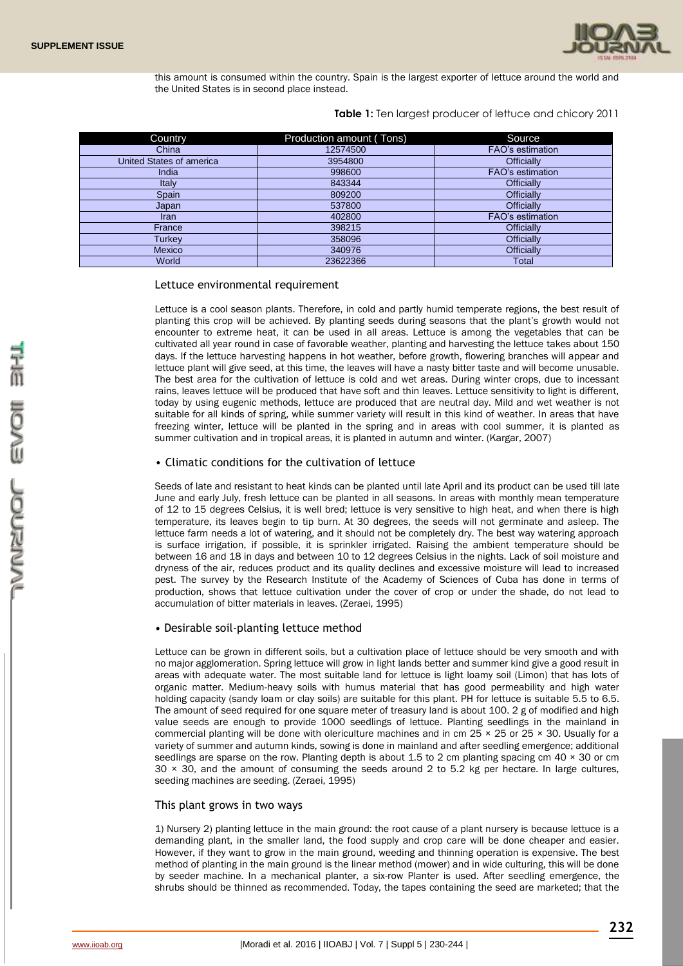

this amount is consumed within the country. Spain is the largest exporter of lettuce around the world and the United States is in second place instead.

**Table 1:** Ten largest producer of lettuce and chicory 2011

| Country                  | Production amount (Tons) | Source                  |
|--------------------------|--------------------------|-------------------------|
| China                    | 12574500                 | FAO's estimation        |
| United States of america | 3954800                  | <b>Officially</b>       |
| India                    | 998600                   | <b>FAO's estimation</b> |
| Italy                    | 843344                   | Officially              |
| Spain                    | 809200                   | <b>Officially</b>       |
| Japan                    | 537800                   | <b>Officially</b>       |
| Iran                     | 402800                   | <b>FAO's estimation</b> |
| France                   | 398215                   | <b>Officially</b>       |
| Turkev                   | 358096                   | <b>Officially</b>       |
| <b>Mexico</b>            | 340976                   | Officially              |
| World                    | 23622366                 | Total                   |

## Lettuce environmental requirement

Lettuce is a cool season plants. Therefore, in cold and partly humid temperate regions, the best result of planting this crop will be achieved. By planting seeds during seasons that the plant's growth would not encounter to extreme heat, it can be used in all areas. Lettuce is among the vegetables that can be cultivated all year round in case of favorable weather, planting and harvesting the lettuce takes about 150 days. If the lettuce harvesting happens in hot weather, before growth, flowering branches will appear and lettuce plant will give seed, at this time, the leaves will have a nasty bitter taste and will become unusable. The best area for the cultivation of lettuce is cold and wet areas. During winter crops, due to incessant rains, leaves lettuce will be produced that have soft and thin leaves. Lettuce sensitivity to light is different, today by using eugenic methods, lettuce are produced that are neutral day. Mild and wet weather is not suitable for all kinds of spring, while summer variety will result in this kind of weather. In areas that have freezing winter, lettuce will be planted in the spring and in areas with cool summer, it is planted as summer cultivation and in tropical areas, it is planted in autumn and winter. (Kargar, 2007)

### • Climatic conditions for the cultivation of lettuce

Seeds of late and resistant to heat kinds can be planted until late April and its product can be used till late June and early July, fresh lettuce can be planted in all seasons. In areas with monthly mean temperature of 12 to 15 degrees Celsius, it is well bred; lettuce is very sensitive to high heat, and when there is high temperature, its leaves begin to tip burn. At 30 degrees, the seeds will not germinate and asleep. The lettuce farm needs a lot of watering, and it should not be completely dry. The best way watering approach is surface irrigation, if possible, it is sprinkler irrigated. Raising the ambient temperature should be between 16 and 18 in days and between 10 to 12 degrees Celsius in the nights. Lack of soil moisture and dryness of the air, reduces product and its quality declines and excessive moisture will lead to increased pest. The survey by the Research Institute of the Academy of Sciences of Cuba has done in terms of production, shows that lettuce cultivation under the cover of crop or under the shade, do not lead to accumulation of bitter materials in leaves. (Zeraei, 1995)

### • Desirable soil-planting lettuce method

Lettuce can be grown in different soils, but a cultivation place of lettuce should be very smooth and with no major agglomeration. Spring lettuce will grow in light lands better and summer kind give a good result in areas with adequate water. The most suitable land for lettuce is light loamy soil (Limon) that has lots of organic matter. Medium-heavy soils with humus material that has good permeability and high water holding capacity (sandy loam or clay soils) are suitable for this plant. PH for lettuce is suitable 5.5 to 6.5. The amount of seed required for one square meter of treasury land is about 100. 2 g of modified and high value seeds are enough to provide 1000 seedlings of lettuce. Planting seedlings in the mainland in commercial planting will be done with olericulture machines and in cm  $25 \times 25$  or  $25 \times 30$ . Usually for a variety of summer and autumn kinds, sowing is done in mainland and after seedling emergence; additional seedlings are sparse on the row. Planting depth is about 1.5 to 2 cm planting spacing cm  $40 \times 30$  or cm  $30 \times 30$ , and the amount of consuming the seeds around 2 to 5.2 kg per hectare. In large cultures, seeding machines are seeding. (Zeraei, 1995)

### This plant grows in two ways

1) Nursery 2) planting lettuce in the main ground: the root cause of a plant nursery is because lettuce is a demanding plant, in the smaller land, the food supply and crop care will be done cheaper and easier. However, if they want to grow in the main ground, weeding and thinning operation is expensive. The best method of planting in the main ground is the linear method (mower) and in wide culturing, this will be done by seeder machine. In a mechanical planter, a six-row Planter is used. After seedling emergence, the shrubs should be thinned as recommended. Today, the tapes containing the seed are marketed; that the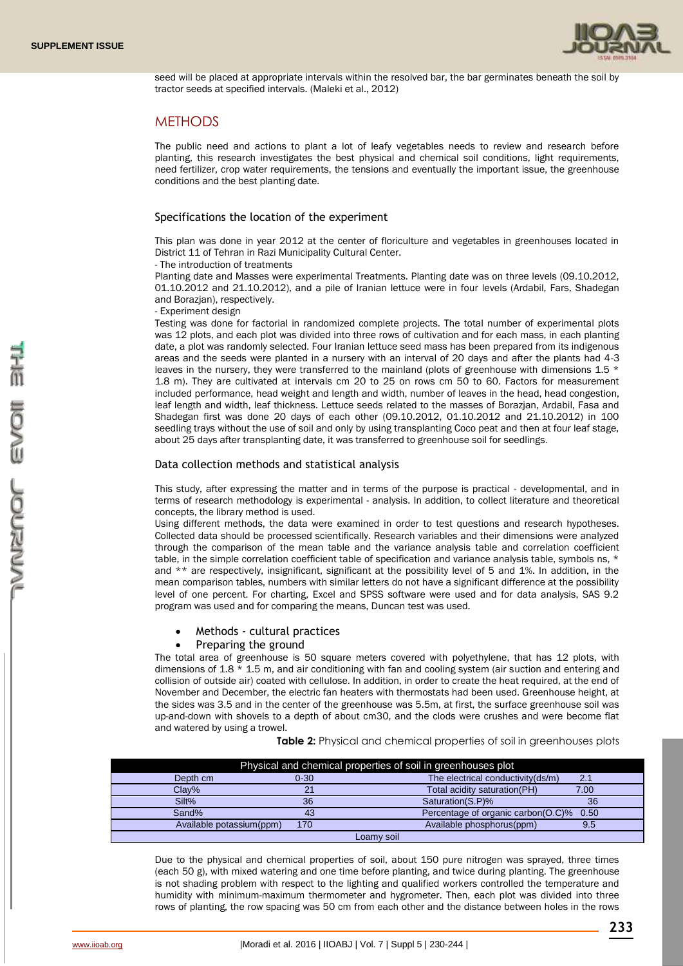

seed will be placed at appropriate intervals within the resolved bar, the bar germinates beneath the soil by tractor seeds at specified intervals. (Maleki et al., 2012)

## **METHODS**

The public need and actions to plant a lot of leafy vegetables needs to review and research before planting, this research investigates the best physical and chemical soil conditions, light requirements, need fertilizer, crop water requirements, the tensions and eventually the important issue, the greenhouse conditions and the best planting date.

### Specifications the location of the experiment

This plan was done in year 2012 at the center of floriculture and vegetables in greenhouses located in District 11 of Tehran in Razi Municipality Cultural Center.

- The introduction of treatments

Planting date and Masses were experimental Treatments. Planting date was on three levels (09.10.2012, 01.10.2012 and 21.10.2012), and a pile of Iranian lettuce were in four levels (Ardabil, Fars, Shadegan and Borazjan), respectively.

- Experiment design

Testing was done for factorial in randomized complete projects. The total number of experimental plots was 12 plots, and each plot was divided into three rows of cultivation and for each mass, in each planting date, a plot was randomly selected. Four Iranian lettuce seed mass has been prepared from its indigenous areas and the seeds were planted in a nursery with an interval of 20 days and after the plants had 4-3 leaves in the nursery, they were transferred to the mainland (plots of greenhouse with dimensions 1.5 \* 1.8 m). They are cultivated at intervals cm 20 to 25 on rows cm 50 to 60. Factors for measurement included performance, head weight and length and width, number of leaves in the head, head congestion, leaf length and width, leaf thickness. Lettuce seeds related to the masses of Borazjan, Ardabil, Fasa and Shadegan first was done 20 days of each other (09.10.2012, 01.10.2012 and 21.10.2012) in 100 seedling trays without the use of soil and only by using transplanting Coco peat and then at four leaf stage, about 25 days after transplanting date, it was transferred to greenhouse soil for seedlings.

### Data collection methods and statistical analysis

This study, after expressing the matter and in terms of the purpose is practical - developmental, and in terms of research methodology is experimental - analysis. In addition, to collect literature and theoretical concepts, the library method is used.

Using different methods, the data were examined in order to test questions and research hypotheses. Collected data should be processed scientifically. Research variables and their dimensions were analyzed through the comparison of the mean table and the variance analysis table and correlation coefficient table, in the simple correlation coefficient table of specification and variance analysis table, symbols ns, \* and \*\* are respectively, insignificant, significant at the possibility level of 5 and 1%. In addition, in the mean comparison tables, numbers with similar letters do not have a significant difference at the possibility level of one percent. For charting, Excel and SPSS software were used and for data analysis, SAS 9.2 program was used and for comparing the means, Duncan test was used.

Methods - cultural practices

### Preparing the ground

The total area of greenhouse is 50 square meters covered with polyethylene, that has 12 plots, with dimensions of  $1.8 \times 1.5$  m, and air conditioning with fan and cooling system (air suction and entering and collision of outside air) coated with cellulose. In addition, in order to create the heat required, at the end of November and December, the electric fan heaters with thermostats had been used. Greenhouse height, at the sides was 3.5 and in the center of the greenhouse was 5.5m, at first, the surface greenhouse soil was up-and-down with shovels to a depth of about cm30, and the clods were crushes and were become flat and watered by using a trowel.

|                          |          | Physical and chemical properties of soil in greenhouses plot |      |  |
|--------------------------|----------|--------------------------------------------------------------|------|--|
| Depth cm                 | $0 - 30$ | The electrical conductivity(ds/m)                            | 2.1  |  |
| Clay%                    | 21       | Total acidity saturation(PH)                                 | 7.00 |  |
| Silt%                    | 36       | Saturation(S.P)%                                             | 36   |  |
| Sand%                    | 43       | Percentage of organic carbon(O.C)% 0.50                      |      |  |
| Available potassium(ppm) | 170      | Available phosphorus(ppm)                                    | 9.5  |  |
|                          |          | Loamy soil                                                   |      |  |

**Table 2:** Physical and chemical properties of soil in greenhouses plots

Due to the physical and chemical properties of soil, about 150 pure nitrogen was sprayed, three times (each 50 g), with mixed watering and one time before planting, and twice during planting. The greenhouse is not shading problem with respect to the lighting and qualified workers controlled the temperature and humidity with minimum-maximum thermometer and hygrometer. Then, each plot was divided into three rows of planting, the row spacing was 50 cm from each other and the distance between holes in the rows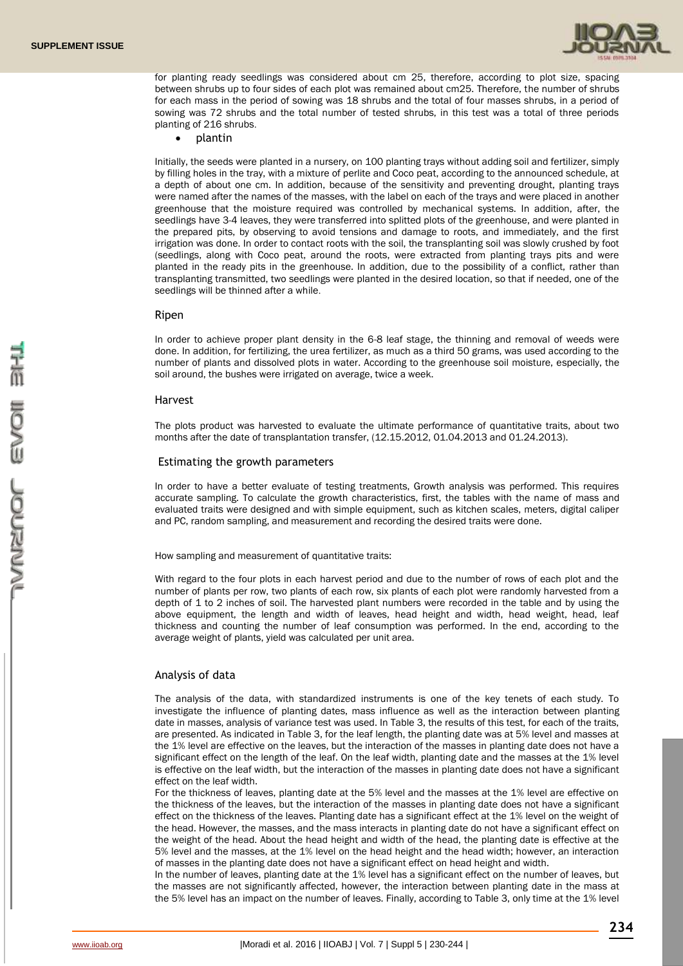

for planting ready seedlings was considered about cm 25, therefore, according to plot size, spacing between shrubs up to four sides of each plot was remained about cm25. Therefore, the number of shrubs for each mass in the period of sowing was 18 shrubs and the total of four masses shrubs, in a period of sowing was 72 shrubs and the total number of tested shrubs, in this test was a total of three periods planting of 216 shrubs.

plantin

Initially, the seeds were planted in a nursery, on 100 planting trays without adding soil and fertilizer, simply by filling holes in the tray, with a mixture of perlite and Coco peat, according to the announced schedule, at a depth of about one cm. In addition, because of the sensitivity and preventing drought, planting trays were named after the names of the masses, with the label on each of the trays and were placed in another greenhouse that the moisture required was controlled by mechanical systems. In addition, after, the seedlings have 3-4 leaves, they were transferred into splitted plots of the greenhouse, and were planted in the prepared pits, by observing to avoid tensions and damage to roots, and immediately, and the first irrigation was done. In order to contact roots with the soil, the transplanting soil was slowly crushed by foot (seedlings, along with Coco peat, around the roots, were extracted from planting trays pits and were planted in the ready pits in the greenhouse. In addition, due to the possibility of a conflict, rather than transplanting transmitted, two seedlings were planted in the desired location, so that if needed, one of the seedlings will be thinned after a while.

#### Ripen

In order to achieve proper plant density in the 6-8 leaf stage, the thinning and removal of weeds were done. In addition, for fertilizing, the urea fertilizer, as much as a third 50 grams, was used according to the number of plants and dissolved plots in water. According to the greenhouse soil moisture, especially, the soil around, the bushes were irrigated on average, twice a week.

#### Harvest

The plots product was harvested to evaluate the ultimate performance of quantitative traits, about two months after the date of transplantation transfer, (12.15.2012, 01.04.2013 and 01.24.2013).

### Estimating the growth parameters

In order to have a better evaluate of testing treatments, Growth analysis was performed. This requires accurate sampling. To calculate the growth characteristics, first, the tables with the name of mass and evaluated traits were designed and with simple equipment, such as kitchen scales, meters, digital caliper and PC, random sampling, and measurement and recording the desired traits were done.

How sampling and measurement of quantitative traits:

With regard to the four plots in each harvest period and due to the number of rows of each plot and the number of plants per row, two plants of each row, six plants of each plot were randomly harvested from a depth of 1 to 2 inches of soil. The harvested plant numbers were recorded in the table and by using the above equipment, the length and width of leaves, head height and width, head weight, head, leaf thickness and counting the number of leaf consumption was performed. In the end, according to the average weight of plants, yield was calculated per unit area.

#### Analysis of data

The analysis of the data, with standardized instruments is one of the key tenets of each study. To investigate the influence of planting dates, mass influence as well as the interaction between planting date in masses, analysis of variance test was used. In Table 3, the results of this test, for each of the traits, are presented. As indicated in Table 3, for the leaf length, the planting date was at 5% level and masses at the 1% level are effective on the leaves, but the interaction of the masses in planting date does not have a significant effect on the length of the leaf. On the leaf width, planting date and the masses at the 1% level is effective on the leaf width, but the interaction of the masses in planting date does not have a significant effect on the leaf width.

For the thickness of leaves, planting date at the 5% level and the masses at the 1% level are effective on the thickness of the leaves, but the interaction of the masses in planting date does not have a significant effect on the thickness of the leaves. Planting date has a significant effect at the 1% level on the weight of the head. However, the masses, and the mass interacts in planting date do not have a significant effect on the weight of the head. About the head height and width of the head, the planting date is effective at the 5% level and the masses, at the 1% level on the head height and the head width; however, an interaction of masses in the planting date does not have a significant effect on head height and width.

In the number of leaves, planting date at the 1% level has a significant effect on the number of leaves, but the masses are not significantly affected, however, the interaction between planting date in the mass at the 5% level has an impact on the number of leaves. Finally, according to Table 3, only time at the 1% level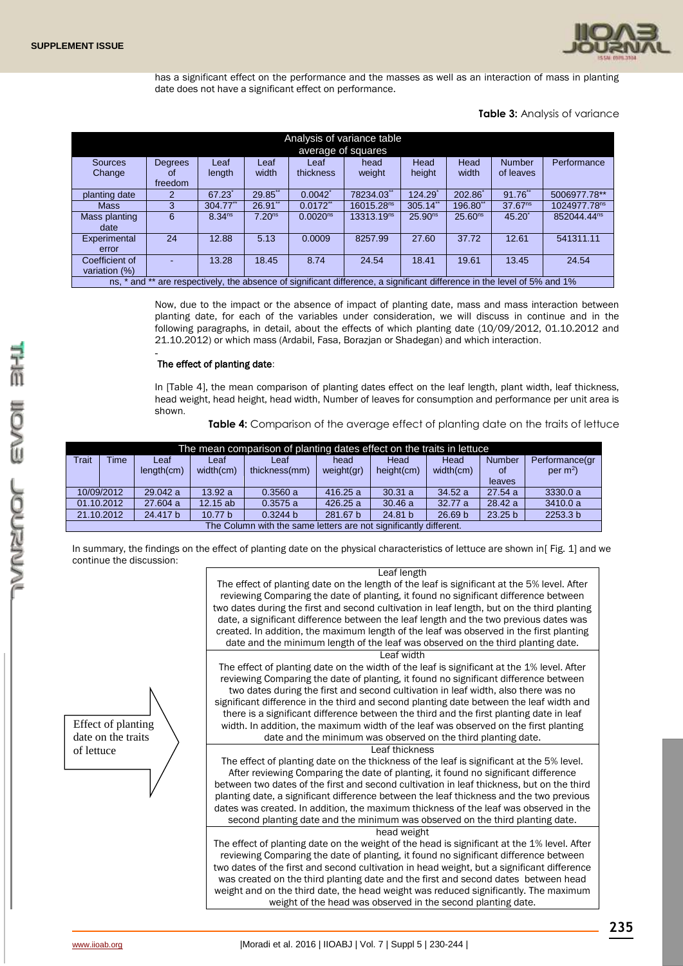

has a significant effect on the performance and the masses as well as an interaction of mass in planting date does not have a significant effect on performance.

**Table 3:** Analysis of variance

| Analysis of variance table<br>average of squares |                |                    |                    |                      |                                                                                                                          |                     |                     |                     |                          |  |
|--------------------------------------------------|----------------|--------------------|--------------------|----------------------|--------------------------------------------------------------------------------------------------------------------------|---------------------|---------------------|---------------------|--------------------------|--|
| <b>Sources</b>                                   | <b>Degrees</b> | Leaf               | Leaf               | Leaf                 | head                                                                                                                     | Head                | Head                | <b>Number</b>       | Performance              |  |
| Change                                           | οf             | length             | width              | thickness            | weight                                                                                                                   | height              | width               | of leaves           |                          |  |
|                                                  | freedom        |                    |                    |                      |                                                                                                                          |                     |                     |                     |                          |  |
| planting date                                    |                | 67.23              | 29.85**            | $0.0042^*$           | 78234.03"                                                                                                                | 124.29              | 202.86              | 91.76               | 5006977.78**             |  |
| <b>Mass</b>                                      | 3              | $304.77$ "         | 26.91"             | $0.0172$ **          | 16015.28 <sup>ns</sup>                                                                                                   | $305.14$ **         | $196.80$ **         | 37.67 <sup>ns</sup> | 1024977.78 <sup>ns</sup> |  |
| Mass planting                                    | 6              | 8.34 <sup>ns</sup> | 7.20 <sup>ns</sup> | 0.0020 <sup>ns</sup> | 13313.19 <sup>ns</sup>                                                                                                   | 25.90 <sup>ns</sup> | 25.60 <sup>ns</sup> | $45.20^{*}$         | 852044.44 <sup>ns</sup>  |  |
| date                                             |                |                    |                    |                      |                                                                                                                          |                     |                     |                     |                          |  |
| Experimental                                     | 24             | 12.88              | 5.13               | 0.0009               | 8257.99                                                                                                                  | 27.60               | 37.72               | 12.61               | 541311.11                |  |
| error                                            |                |                    |                    |                      |                                                                                                                          |                     |                     |                     |                          |  |
| Coefficient of                                   |                | 13.28              | 18.45              | 8.74                 | 24.54                                                                                                                    | 18.41               | 19.61               | 13.45               | 24.54                    |  |
| variation $(\%)$                                 |                |                    |                    |                      |                                                                                                                          |                     |                     |                     |                          |  |
|                                                  |                |                    |                    |                      | ns, * and ** are respectively, the absence of significant difference, a significant difference in the level of 5% and 1% |                     |                     |                     |                          |  |

Now, due to the impact or the absence of impact of planting date, mass and mass interaction between planting date, for each of the variables under consideration, we will discuss in continue and in the following paragraphs, in detail, about the effects of which planting date (10/09/2012, 01.10.2012 and 21.10.2012) or which mass (Ardabil, Fasa, Borazjan or Shadegan) and which interaction.

#### - The effect of planting date:

In [Table 4], the mean comparison of planting dates effect on the leaf length, plant width, leaf thickness, head weight, head height, head width, Number of leaves for consumption and performance per unit area is shown.

**Table 4:** Comparison of the average effect of planting date on the traits of lettuce

| The mean comparison of planting dates effect on the traits in lettuce |             |                  |            |               |            |            |                    |                    |                |  |
|-----------------------------------------------------------------------|-------------|------------------|------------|---------------|------------|------------|--------------------|--------------------|----------------|--|
| <b>Trait</b>                                                          | <b>Time</b> | Leaf             | Leaf       | Leaf          | head       | Head       | Head               | <b>Number</b>      | Performance(gr |  |
|                                                                       |             | $l$ ength $(cm)$ | width(cm)  | thickness(mm) | weight(gr) | height(cm) | width(cm)          | 0f                 | per $m^2$ )    |  |
|                                                                       |             |                  |            |               |            |            |                    | leaves             |                |  |
| 10/09/2012                                                            |             | 29.042 a         | 13.92a     | 0.3560a       | 416.25 a   | 30.31a     | 34.52 a            | 27.54a             | 3330.0 a       |  |
|                                                                       | 01.10.2012  | 27,604 a         | $12.15$ ab | 0.3575a       | 426.25 a   | 30.46a     | 32.77 a            | 28.42 a            | 3410.0 a       |  |
|                                                                       | 21.10.2012  | 24.417 b         | 10.77 b    | 0.3244 b      | 281.67 b   | 24.81 b    | 26.69 <sub>b</sub> | 23.25 <sub>b</sub> | 2253.3 b       |  |
| The Column with the same letters are not significantly different.     |             |                  |            |               |            |            |                    |                    |                |  |

In summary, the findings on the effect of planting date on the physical characteristics of lettuce are shown in[ Fig. 1] and we continue the discussion:

Effect of planting date on the traits of lettuce

| Leaf length                                                                                 |
|---------------------------------------------------------------------------------------------|
| The effect of planting date on the length of the leaf is significant at the 5% level. After |
| reviewing Comparing the date of planting, it found no significant difference between        |
| two dates during the first and second cultivation in leaf length, but on the third planting |
| date, a significant difference between the leaf length and the two previous dates was       |
| created. In addition, the maximum length of the leaf was observed in the first planting     |
| date and the minimum length of the leaf was observed on the third planting date.            |
| Leaf width                                                                                  |
| The effect of planting date on the width of the leaf is significant at the 1% level. After  |
| reviewing Comparing the date of planting, it found no significant difference between        |
| two dates during the first and second cultivation in leaf width, also there was no          |
| significant difference in the third and second planting date between the leaf width and     |
| there is a significant difference between the third and the first planting date in leaf     |
| width. In addition, the maximum width of the leaf was observed on the first planting        |
| date and the minimum was observed on the third planting date.                               |
| Leaf thickness                                                                              |
| The effect of planting date on the thickness of the leaf is significant at the 5% level.    |
| After reviewing Comparing the date of planting, it found no significant difference          |
| between two dates of the first and second cultivation in leaf thickness, but on the third   |
| planting date, a significant difference between the leaf thickness and the two previous     |
| dates was created. In addition, the maximum thickness of the leaf was observed in the       |
| second planting date and the minimum was observed on the third planting date.               |
| head weight                                                                                 |
| The effect of planting date on the weight of the head is significant at the 1% level. After |
| reviewing Comparing the date of planting, it found no significant difference between        |
| two dates of the first and second cultivation in head weight, but a significant difference  |
| was created on the third planting date and the first and second dates between head          |
| weight and on the third date, the head weight was reduced significantly. The maximum        |

weight of the head was observed in the second planting date.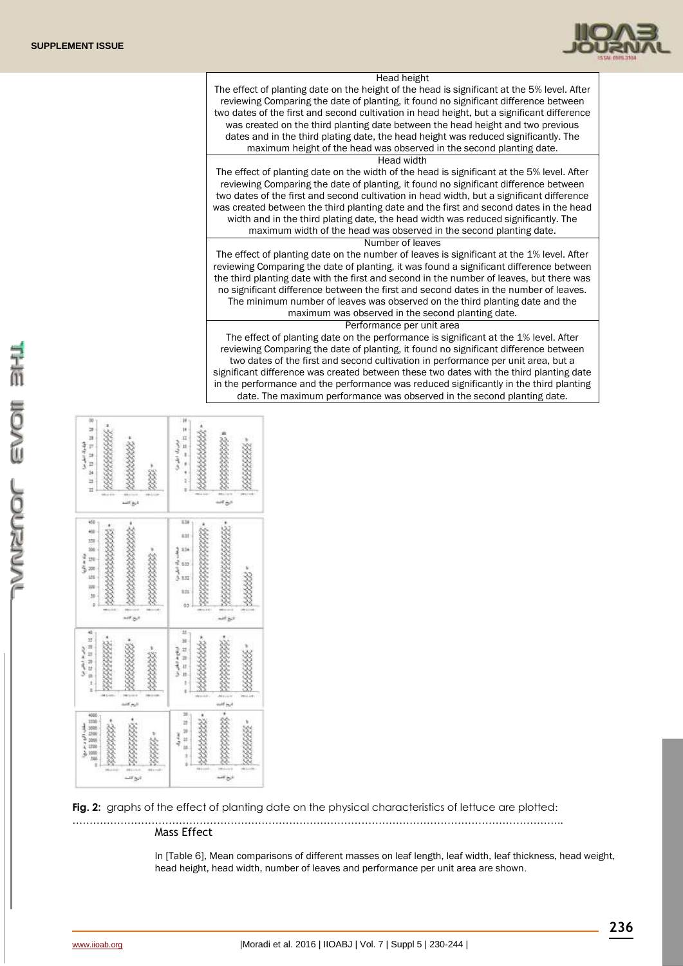

| Head height                                                                                 |
|---------------------------------------------------------------------------------------------|
| The effect of planting date on the height of the head is significant at the 5% level. After |
| reviewing Comparing the date of planting, it found no significant difference between        |
| two dates of the first and second cultivation in head height, but a significant difference  |
| was created on the third planting date between the head height and two previous             |
| dates and in the third plating date, the head height was reduced significantly. The         |
| maximum height of the head was observed in the second planting date.                        |
| Head width                                                                                  |
| The effect of planting date on the width of the head is significant at the 5% level. After  |
| reviewing Comparing the date of planting, it found no significant difference between        |
| two dates of the first and second cultivation in head width, but a significant difference   |
| was created between the third planting date and the first and second dates in the head      |
| width and in the third plating date, the head width was reduced significantly. The          |
| maximum width of the head was observed in the second planting date.                         |
| Number of leaves                                                                            |
| The effect of planting date on the number of leaves is significant at the 1% level. After   |
| reviewing Comparing the date of planting, it was found a significant difference between     |
| the third planting date with the first and second in the number of leaves, but there was    |
| no significant difference between the first and second dates in the number of leaves.       |
| The minimum number of leaves was observed on the third planting date and the                |
| maximum was observed in the second planting date.                                           |
| Performance per unit area                                                                   |
| The effect of planting date on the performance is significant at the 1% level. After        |
| reviewing Comparing the date of planting, it found no significant difference between        |
| two dates of the first and second cultivation in performance per unit area, but a           |
| significant difference was created between these two dates with the third planting date     |
| in the performance and the performance was reduced significantly in the third planting      |
| date. The maximum performance was observed in the second planting date.                     |

| bb)<br>ы<br>Þ<br>اوند و استشر سرا<br>ø<br>Ħ<br>μ<br>\$<br>Ħ<br>Ħ<br>es.<br>14<br>دروات | 16 <sub>2</sub><br>7<br>M<br>Ĥ<br>u<br>رال المالي تر<br>×<br>n<br>درج است                |
|----------------------------------------------------------------------------------------|------------------------------------------------------------------------------------------|
| 450<br>408<br>150<br>106<br>230<br>300<br>üü<br>m<br><b>SB</b><br>×<br>ŧ,<br>دی مب     | 834<br>838<br>134<br>0.17<br>g<br>5.932<br>9.25<br>03<br>(12)<br><b>ITEL</b><br>نازی کنب |
| ü                                                                                      | $11 -$                                                                                   |
| 13                                                                                     | 38                                                                                       |
| Ħ                                                                                      | 12                                                                                       |
| 13                                                                                     | 譡                                                                                        |
| n                                                                                      | 12                                                                                       |
| ы                                                                                      | ۹                                                                                        |
| is                                                                                     | <b>IB</b>                                                                                |
| ž                                                                                      | t                                                                                        |
| ×                                                                                      | i                                                                                        |
| (10.1)                                                                                 | <b>PESCASS</b>                                                                           |
| 148.1                                                                                  | <b>NUMBER</b>                                                                            |
| $m_{\pi}$                                                                              | ait no                                                                                   |
| 4000                                                                                   | 10                                                                                       |
| 1100                                                                                   | ź                                                                                        |
| 5000                                                                                   | Ħ                                                                                        |
| 1100                                                                                   | tá                                                                                       |
| 2000                                                                                   | ž                                                                                        |
| 1110                                                                                   | Ń                                                                                        |
| 3000                                                                                   | 041,010                                                                                  |
| hito.                                                                                  | pin for                                                                                  |
| ó                                                                                      | m                                                                                        |
| $044 - 041$                                                                            | $\overline{a}$                                                                           |
| $\sim$                                                                                 | 148                                                                                      |
| $-1180$                                                                                | درج بجب                                                                                  |

**Fig. 2:** graphs of the effect of planting date on the physical characteristics of lettuce are plotted:

…………………………………………………………………………………………………………………………….. Mass Effect

> In [Table 6], Mean comparisons of different masses on leaf length, leaf width, leaf thickness, head weight, head height, head width, number of leaves and performance per unit area are shown.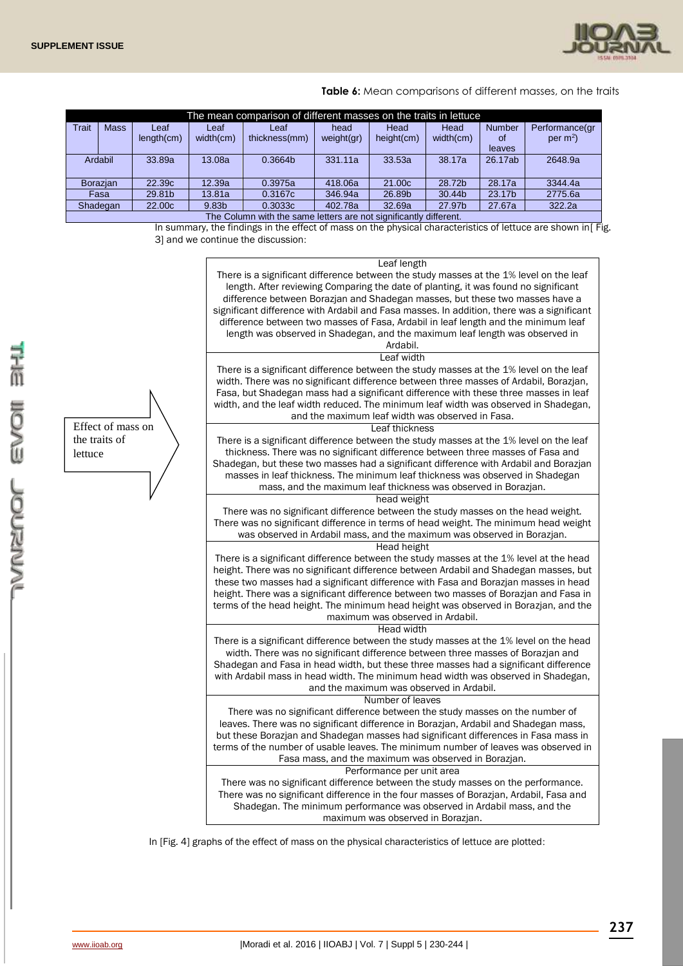

**Table 6:** Mean comparisons of different masses, on the traits

|         | The mean comparison of different masses on the traits in lettuce  |                    |                   |               |            |            |           |               |                |  |  |  |
|---------|-------------------------------------------------------------------|--------------------|-------------------|---------------|------------|------------|-----------|---------------|----------------|--|--|--|
| Trait   | <b>Mass</b>                                                       | Leaf               | Leaf              | ∟eaf          | head       | Head       | Head      | <b>Number</b> | Performance(gr |  |  |  |
|         |                                                                   | $l$ ength $(cm)$   | width(cm)         | thickness(mm) | weight(gr) | height(cm) | width(cm) | 0f            | per $m^2$ )    |  |  |  |
|         |                                                                   |                    |                   |               |            |            |           | leaves        |                |  |  |  |
| Ardabil |                                                                   | 33.89a             | 13.08a            | 0.3664b       | 331.11a    | 33.53a     | 38.17a    | 26.17ab       | 2648.9a        |  |  |  |
|         |                                                                   |                    |                   |               |            |            |           |               |                |  |  |  |
|         | <b>Borazian</b>                                                   | 22.39c             | 12.39a            | 0.3975a       | 418,06a    | 21.00c     | 28.72b    | 28.17a        | 3344.4a        |  |  |  |
|         | Fasa                                                              | 29.81b             | 13.81a            | 0.3167c       | 346.94a    | 26.89b     | 30.44b    | 23.17b        | 2775.6a        |  |  |  |
|         | Shadegan                                                          | 22.00 <sub>c</sub> | 9.83 <sub>b</sub> | 0.3033c       | 402.78a    | 32.69a     | 27.97b    | 27.67a        | 322.2a         |  |  |  |
|         | The Column with the same letters are not significantly different. |                    |                   |               |            |            |           |               |                |  |  |  |

In summary, the findings in the effect of mass on the physical characteristics of lettuce are shown in[ Fig. 3] and we continue the discussion:

#### Leaf length

There is a significant difference between the study masses at the 1% level on the leaf length. After reviewing Comparing the date of planting, it was found no significant difference between Borazjan and Shadegan masses, but these two masses have a significant difference with Ardabil and Fasa masses. In addition, there was a significant difference between two masses of Fasa, Ardabil in leaf length and the minimum leaf length was observed in Shadegan, and the maximum leaf length was observed in Ardabil.

#### Leaf width

There is a significant difference between the study masses at the 1% level on the leaf width. There was no significant difference between three masses of Ardabil, Borazjan, Fasa, but Shadegan mass had a significant difference with these three masses in leaf width, and the leaf width reduced. The minimum leaf width was observed in Shadegan, and the maximum leaf width was observed in Fasa.

#### Leaf thickness

There is a significant difference between the study masses at the 1% level on the leaf thickness. There was no significant difference between three masses of Fasa and Shadegan, but these two masses had a significant difference with Ardabil and Borazjan masses in leaf thickness. The minimum leaf thickness was observed in Shadegan mass, and the maximum leaf thickness was observed in Borazjan.

#### head weight

There was no significant difference between the study masses on the head weight. There was no significant difference in terms of head weight. The minimum head weight was observed in Ardabil mass, and the maximum was observed in Borazjan.

#### Head height

There is a significant difference between the study masses at the 1% level at the head height. There was no significant difference between Ardabil and Shadegan masses, but these two masses had a significant difference with Fasa and Borazjan masses in head height. There was a significant difference between two masses of Borazjan and Fasa in terms of the head height. The minimum head height was observed in Borazjan, and the maximum was observed in Ardabil.

#### Head width

There is a significant difference between the study masses at the 1% level on the head width. There was no significant difference between three masses of Borazjan and Shadegan and Fasa in head width, but these three masses had a significant difference with Ardabil mass in head width. The minimum head width was observed in Shadegan, and the maximum was observed in Ardabil.

#### Number of leaves

There was no significant difference between the study masses on the number of leaves. There was no significant difference in Borazjan, Ardabil and Shadegan mass, but these Borazjan and Shadegan masses had significant differences in Fasa mass in terms of the number of usable leaves. The minimum number of leaves was observed in Fasa mass, and the maximum was observed in Borazjan.

## Performance per unit area

There was no significant difference between the study masses on the performance. There was no significant difference in the four masses of Borazjan, Ardabil, Fasa and Shadegan. The minimum performance was observed in Ardabil mass, and the maximum was observed in Borazjan.

In [Fig. 4] graphs of the effect of mass on the physical characteristics of lettuce are plotted:

Effect of mass on the traits of lettuce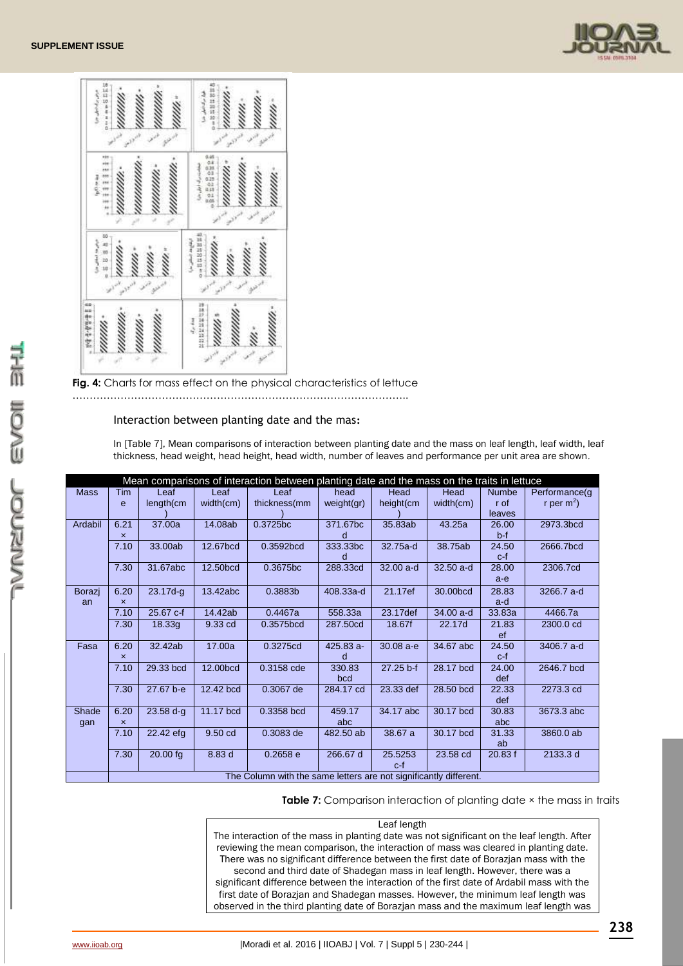



**Fig. 4:** Charts for mass effect on the physical characteristics of lettuce

……………………………………………………………………………………..

## Interaction between planting date and the mas**:**

In [Table 7], Mean comparisons of interaction between planting date and the mass on leaf length, leaf width, leaf thickness, head weight, head height, head width, number of leaves and performance per unit area are shown.

|             | Mean comparisons of interaction between planting date and the mass on the traits in lettuce |              |           |                                                                   |             |              |             |              |                |  |  |
|-------------|---------------------------------------------------------------------------------------------|--------------|-----------|-------------------------------------------------------------------|-------------|--------------|-------------|--------------|----------------|--|--|
| <b>Mass</b> | Tim                                                                                         | Leaf         | Leaf      | Leaf                                                              | head        | Head         | Head        | <b>Numbe</b> | Performance(g) |  |  |
|             | e                                                                                           | length(cm    | width(cm) | thickness(mm                                                      | weight(gr)  | height(cm    | width(cm)   | r of         | r per $m^2$ )  |  |  |
|             |                                                                                             |              |           |                                                                   |             |              |             | leaves       |                |  |  |
| Ardabil     | 6.21                                                                                        | 37.00a       | 14.08ab   | 0.3725bc                                                          | 371.67bc    | 35.83ab      | 43.25a      | 26.00        | 2973.3bcd      |  |  |
|             | $\boldsymbol{\mathsf{x}}$                                                                   |              |           |                                                                   | d           |              |             | $b-f$        |                |  |  |
|             | 7.10                                                                                        | 33.00ab      | 12.67bcd  | 0.3592bcd                                                         | 333.33bc    | 32.75a-d     | 38.75ab     | 24.50        | 2666.7bcd      |  |  |
|             |                                                                                             |              |           |                                                                   | d           |              |             | $c-f$        |                |  |  |
|             | 7.30                                                                                        | 31.67abc     | 12.50bcd  | 0.3675bc                                                          | 288.33cd    | 32.00 a-d    | $32.50$ a-d | 28.00        | 2306.7cd       |  |  |
|             |                                                                                             |              |           |                                                                   |             |              |             | $a-e$        |                |  |  |
| Borazj      | 6.20                                                                                        | $23.17d - q$ | 13.42abc  | 0.3883b                                                           | 408.33a-d   | 21.17ef      | 30.00bcd    | 28.83        | 3266.7 a-d     |  |  |
| an          | $\boldsymbol{\mathsf{x}}$                                                                   |              |           |                                                                   |             |              |             | a-d          |                |  |  |
|             | 7.10                                                                                        | 25.67 c-f    | 14.42ab   | 0.4467a                                                           | 558.33a     | 23.17def     | 34.00 a-d   | 33.83a       | 4466.7a        |  |  |
|             | 7.30                                                                                        | 18.33g       | 9.33 cd   | 0.3575bcd                                                         | 287.50cd    | 18.67f       | 22.17d      | 21.83        | 2300.0 cd      |  |  |
|             |                                                                                             |              |           |                                                                   |             |              |             | ef           |                |  |  |
| Fasa        | 6.20                                                                                        | 32.42ab      | 17.00a    | 0.3275cd                                                          | $425.83a -$ | $30.08a - e$ | 34.67 abc   | 24.50        | 3406.7 a-d     |  |  |
|             | $\boldsymbol{\mathsf{x}}$                                                                   |              |           |                                                                   | d           |              |             | c-f          |                |  |  |
|             | 7.10                                                                                        | 29.33 bcd    | 12.00bcd  | 0.3158 cde                                                        | 330.83      | 27.25 b-f    | 28.17 bcd   | 24.00        | 2646.7 bcd     |  |  |
|             |                                                                                             |              |           |                                                                   | bcd         |              |             | def          |                |  |  |
|             | 7.30                                                                                        | 27.67 b-e    | 12.42 bcd | 0.3067 de                                                         | 284.17 cd   | 23.33 def    | 28.50 bcd   | 22.33        | 2273.3 cd      |  |  |
|             |                                                                                             |              |           |                                                                   |             |              |             | def          |                |  |  |
| Shade       | 6.20                                                                                        | $23.58 d-q$  | 11.17 bcd | 0.3358 bcd                                                        | 459.17      | 34.17 abc    | 30.17 bcd   | 30.83        | 3673.3 abc     |  |  |
| gan         | $\boldsymbol{\mathsf{x}}$                                                                   |              |           |                                                                   | abc         |              |             | abc          |                |  |  |
|             | 7.10                                                                                        | 22.42 efg    | 9.50 cd   | 0.3083 de                                                         | 482.50 ab   | 38.67 a      | 30.17 bcd   | 31.33        | 3860.0 ab      |  |  |
|             |                                                                                             |              |           |                                                                   |             |              |             | ab           |                |  |  |
|             | 7.30                                                                                        | $20.00$ fg   | 8.83 d    | 0.2658e                                                           | 266.67 d    | 25.5253      | 23.58 cd    | 20.83 f      | 2133.3 d       |  |  |
|             |                                                                                             |              |           |                                                                   |             | c-f          |             |              |                |  |  |
|             |                                                                                             |              |           | The Column with the same letters are not significantly different. |             |              |             |              |                |  |  |

**Table 7:** Comparison interaction of planting date  $\times$  the mass in traits

### Leaf length

The interaction of the mass in planting date was not significant on the leaf length. After reviewing the mean comparison, the interaction of mass was cleared in planting date. There was no significant difference between the first date of Borazjan mass with the second and third date of Shadegan mass in leaf length. However, there was a

significant difference between the interaction of the first date of Ardabil mass with the first date of Borazjan and Shadegan masses. However, the minimum leaf length was observed in the third planting date of Borazjan mass and the maximum leaf length was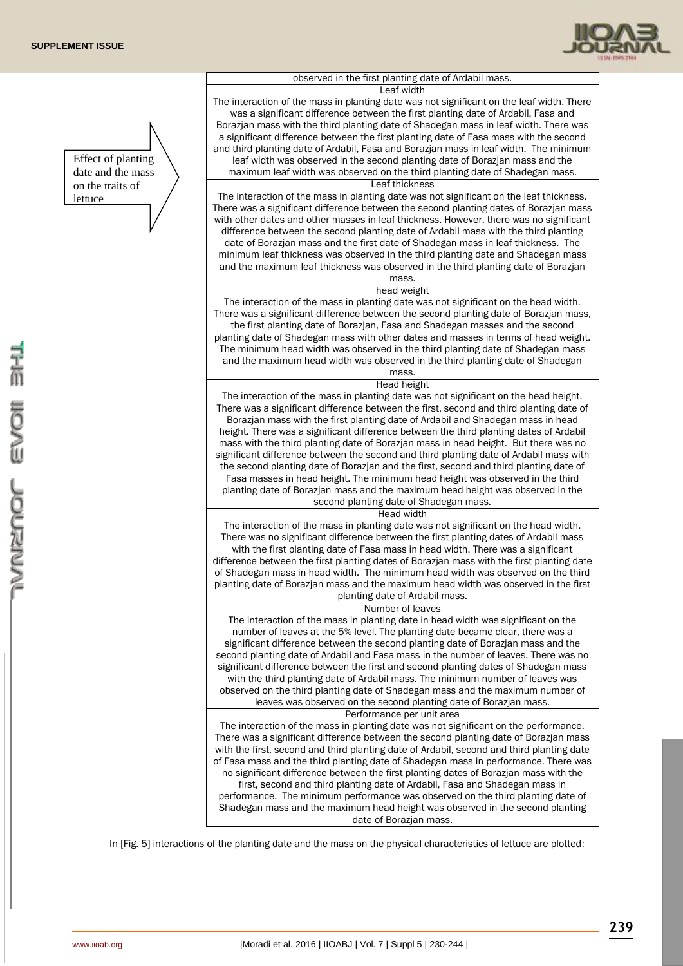Effect of planting date and the mass on the traits of lettuce



## observed in the first planting date of Ardabil mass.

Leaf width The interaction of the mass in planting date was not significant on the leaf width. There was a significant difference between the first planting date of Ardabil, Fasa and Borazjan mass with the third planting date of Shadegan mass in leaf width. There was a significant difference between the first planting date of Fasa mass with the second and third planting date of Ardabil, Fasa and Borazjan mass in leaf width. The minimum leaf width was observed in the second planting date of Borazjan mass and the maximum leaf width was observed on the third planting date of Shadegan mass.

#### Leaf thickness

The interaction of the mass in planting date was not significant on the leaf thickness. There was a significant difference between the second planting dates of Borazjan mass with other dates and other masses in leaf thickness. However, there was no significant difference between the second planting date of Ardabil mass with the third planting date of Borazjan mass and the first date of Shadegan mass in leaf thickness. The minimum leaf thickness was observed in the third planting date and Shadegan mass and the maximum leaf thickness was observed in the third planting date of Borazjan mass.

#### head weight

The interaction of the mass in planting date was not significant on the head width. There was a significant difference between the second planting date of Borazjan mass, the first planting date of Borazjan, Fasa and Shadegan masses and the second planting date of Shadegan mass with other dates and masses in terms of head weight. The minimum head width was observed in the third planting date of Shadegan mass and the maximum head width was observed in the third planting date of Shadegan

> mass. Head height

The interaction of the mass in planting date was not significant on the head height. There was a significant difference between the first, second and third planting date of Borazjan mass with the first planting date of Ardabil and Shadegan mass in head height. There was a significant difference between the third planting dates of Ardabil mass with the third planting date of Borazjan mass in head height. But there was no significant difference between the second and third planting date of Ardabil mass with the second planting date of Borazjan and the first, second and third planting date of Fasa masses in head height. The minimum head height was observed in the third planting date of Borazjan mass and the maximum head height was observed in the second planting date of Shadegan mass.

Head width

The interaction of the mass in planting date was not significant on the head width. There was no significant difference between the first planting dates of Ardabil mass with the first planting date of Fasa mass in head width. There was a significant difference between the first planting dates of Borazjan mass with the first planting date of Shadegan mass in head width. The minimum head width was observed on the third planting date of Borazjan mass and the maximum head width was observed in the first

## planting date of Ardabil mass.

Number of leaves

The interaction of the mass in planting date in head width was significant on the number of leaves at the 5% level. The planting date became clear, there was a significant difference between the second planting date of Borazjan mass and the second planting date of Ardabil and Fasa mass in the number of leaves. There was no significant difference between the first and second planting dates of Shadegan mass with the third planting date of Ardabil mass. The minimum number of leaves was observed on the third planting date of Shadegan mass and the maximum number of leaves was observed on the second planting date of Borazjan mass.

### Performance per unit area

The interaction of the mass in planting date was not significant on the performance. There was a significant difference between the second planting date of Borazjan mass with the first, second and third planting date of Ardabil, second and third planting date of Fasa mass and the third planting date of Shadegan mass in performance. There was no significant difference between the first planting dates of Borazjan mass with the first, second and third planting date of Ardabil, Fasa and Shadegan mass in performance. The minimum performance was observed on the third planting date of Shadegan mass and the maximum head height was observed in the second planting date of Borazjan mass.

In [Fig. 5] interactions of the planting date and the mass on the physical characteristics of lettuce are plotted: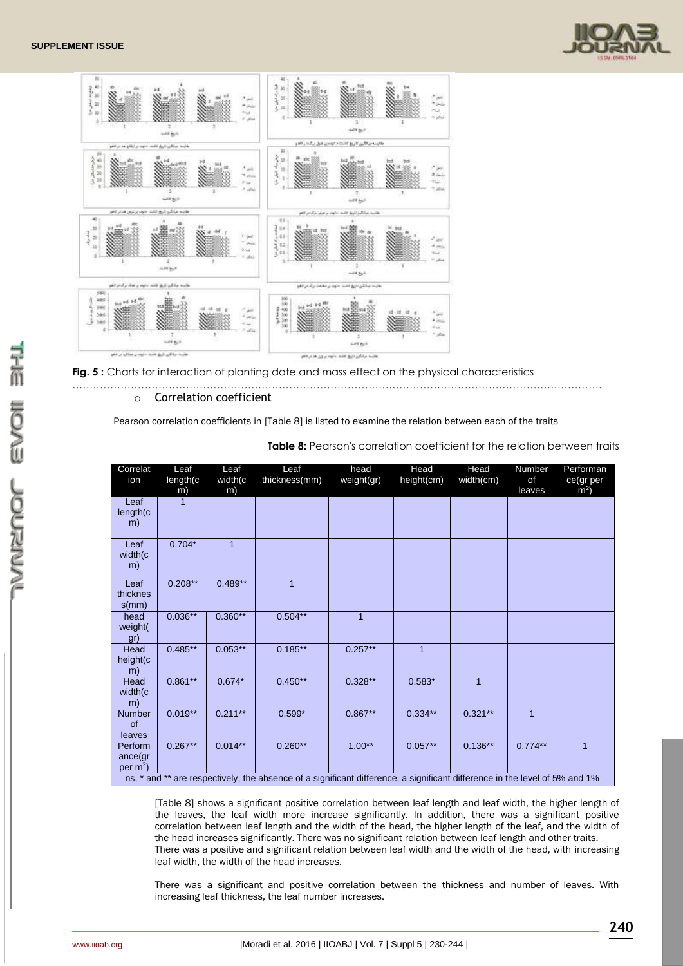



**Fig. 5 :** Charts for interaction of planting date and mass effect on the physical characteristics

#### ………………………………………………………………………………………………………………………………………. o Correlation coefficient

Pearson correlation coefficients in [Table 8] is listed to examine the relation between each of the traits

| Correlat<br>ion                          | Leaf<br>length(c<br>m) | Leaf<br>width(c<br>m) | Leaf<br>thickness(mm)                                                                                                      | head<br>weight(gr) | Head<br>height(cm) | Head<br>width(cm) | Number<br>οf<br>leaves | Performan<br>ce(gr per<br>m <sup>2</sup> |
|------------------------------------------|------------------------|-----------------------|----------------------------------------------------------------------------------------------------------------------------|--------------------|--------------------|-------------------|------------------------|------------------------------------------|
| Leaf<br>length(c<br>m)                   |                        |                       |                                                                                                                            |                    |                    |                   |                        |                                          |
| Leaf<br>width(c<br>m)                    | $0.704*$               | 1                     |                                                                                                                            |                    |                    |                   |                        |                                          |
| Leaf<br>thicknes<br>$s$ (mm)             | $0.208**$              | $0.489**$             | $\mathbf{1}$                                                                                                               |                    |                    |                   |                        |                                          |
| head<br>weight(<br>gr)                   | $0.036**$              | $0.360**$             | $0.504**$                                                                                                                  | 1                  |                    |                   |                        |                                          |
| Head<br>height(c<br>m)                   | $0.485***$             | $0.053**$             | $0.185***$                                                                                                                 | $0.257**$          | $\overline{1}$     |                   |                        |                                          |
| Head<br>width(c<br>m)                    | $0.861**$              | $0.674*$              | $0.450**$                                                                                                                  | $0.328**$          | $0.583*$           | $\overline{1}$    |                        |                                          |
| Number<br>of<br>leaves                   | $0.019**$              | $0.211**$             | $0.599*$                                                                                                                   | $0.867***$         | $0.334**$          | $0.321**$         | $\mathbf{1}$           |                                          |
| Perform<br>ance(gr<br>per m <sup>2</sup> | $0.267**$              | $0.014***$            | $0.260**$                                                                                                                  | $1.00**$           | $0.057**$          | $0.136***$        | $0.774**$              | $\mathbf{1}$                             |
|                                          |                        |                       | ns, * and ** are respectively, the absence of a significant difference, a significant difference in the level of 5% and 1% |                    |                    |                   |                        |                                          |

**Table 8:** Pearson's correlation coefficient for the relation between traits

[Table 8] shows a significant positive correlation between leaf length and leaf width, the higher length of the leaves, the leaf width more increase significantly. In addition, there was a significant positive correlation between leaf length and the width of the head, the higher length of the leaf, and the width of the head increases significantly. There was no significant relation between leaf length and other traits. There was a positive and significant relation between leaf width and the width of the head, with increasing leaf width, the width of the head increases.

There was a significant and positive correlation between the thickness and number of leaves. With increasing leaf thickness, the leaf number increases.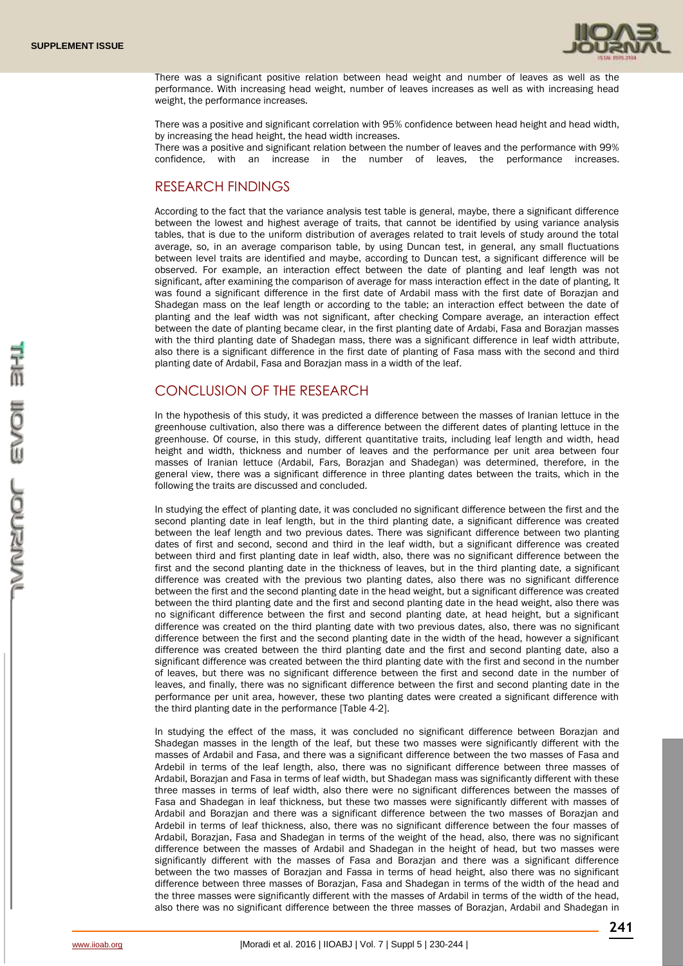

There was a significant positive relation between head weight and number of leaves as well as the performance. With increasing head weight, number of leaves increases as well as with increasing head weight, the performance increases.

There was a positive and significant correlation with 95% confidence between head height and head width, by increasing the head height, the head width increases.

There was a positive and significant relation between the number of leaves and the performance with 99% confidence, with an increase in the number of leaves, the performance increases.

## RESEARCH FINDINGS

According to the fact that the variance analysis test table is general, maybe, there a significant difference between the lowest and highest average of traits, that cannot be identified by using variance analysis tables, that is due to the uniform distribution of averages related to trait levels of study around the total average, so, in an average comparison table, by using Duncan test, in general, any small fluctuations between level traits are identified and maybe, according to Duncan test, a significant difference will be observed. For example, an interaction effect between the date of planting and leaf length was not significant, after examining the comparison of average for mass interaction effect in the date of planting, It was found a significant difference in the first date of Ardabil mass with the first date of Borazjan and Shadegan mass on the leaf length or according to the table; an interaction effect between the date of planting and the leaf width was not significant, after checking Compare average, an interaction effect between the date of planting became clear, in the first planting date of Ardabi, Fasa and Borazjan masses with the third planting date of Shadegan mass, there was a significant difference in leaf width attribute, also there is a significant difference in the first date of planting of Fasa mass with the second and third planting date of Ardabil, Fasa and Borazjan mass in a width of the leaf.

## CONCLUSION OF THE RESEARCH

In the hypothesis of this study, it was predicted a difference between the masses of Iranian lettuce in the greenhouse cultivation, also there was a difference between the different dates of planting lettuce in the greenhouse. Of course, in this study, different quantitative traits, including leaf length and width, head height and width, thickness and number of leaves and the performance per unit area between four masses of Iranian lettuce (Ardabil, Fars, Borazjan and Shadegan) was determined, therefore, in the general view, there was a significant difference in three planting dates between the traits, which in the following the traits are discussed and concluded.

In studying the effect of planting date, it was concluded no significant difference between the first and the second planting date in leaf length, but in the third planting date, a significant difference was created between the leaf length and two previous dates. There was significant difference between two planting dates of first and second, second and third in the leaf width, but a significant difference was created between third and first planting date in leaf width, also, there was no significant difference between the first and the second planting date in the thickness of leaves, but in the third planting date, a significant difference was created with the previous two planting dates, also there was no significant difference between the first and the second planting date in the head weight, but a significant difference was created between the third planting date and the first and second planting date in the head weight, also there was no significant difference between the first and second planting date, at head height, but a significant difference was created on the third planting date with two previous dates, also, there was no significant difference between the first and the second planting date in the width of the head, however a significant difference was created between the third planting date and the first and second planting date, also a significant difference was created between the third planting date with the first and second in the number of leaves, but there was no significant difference between the first and second date in the number of leaves, and finally, there was no significant difference between the first and second planting date in the performance per unit area, however, these two planting dates were created a significant difference with the third planting date in the performance [Table 4-2].

In studying the effect of the mass, it was concluded no significant difference between Borazjan and Shadegan masses in the length of the leaf, but these two masses were significantly different with the masses of Ardabil and Fasa, and there was a significant difference between the two masses of Fasa and Ardebil in terms of the leaf length, also, there was no significant difference between three masses of Ardabil, Borazjan and Fasa in terms of leaf width, but Shadegan mass was significantly different with these three masses in terms of leaf width, also there were no significant differences between the masses of Fasa and Shadegan in leaf thickness, but these two masses were significantly different with masses of Ardabil and Borazjan and there was a significant difference between the two masses of Borazjan and Ardebil in terms of leaf thickness, also, there was no significant difference between the four masses of Ardabil, Borazjan, Fasa and Shadegan in terms of the weight of the head, also, there was no significant difference between the masses of Ardabil and Shadegan in the height of head, but two masses were significantly different with the masses of Fasa and Borazjan and there was a significant difference between the two masses of Borazjan and Fassa in terms of head height, also there was no significant difference between three masses of Borazjan, Fasa and Shadegan in terms of the width of the head and the three masses were significantly different with the masses of Ardabil in terms of the width of the head, also there was no significant difference between the three masses of Borazjan, Ardabil and Shadegan in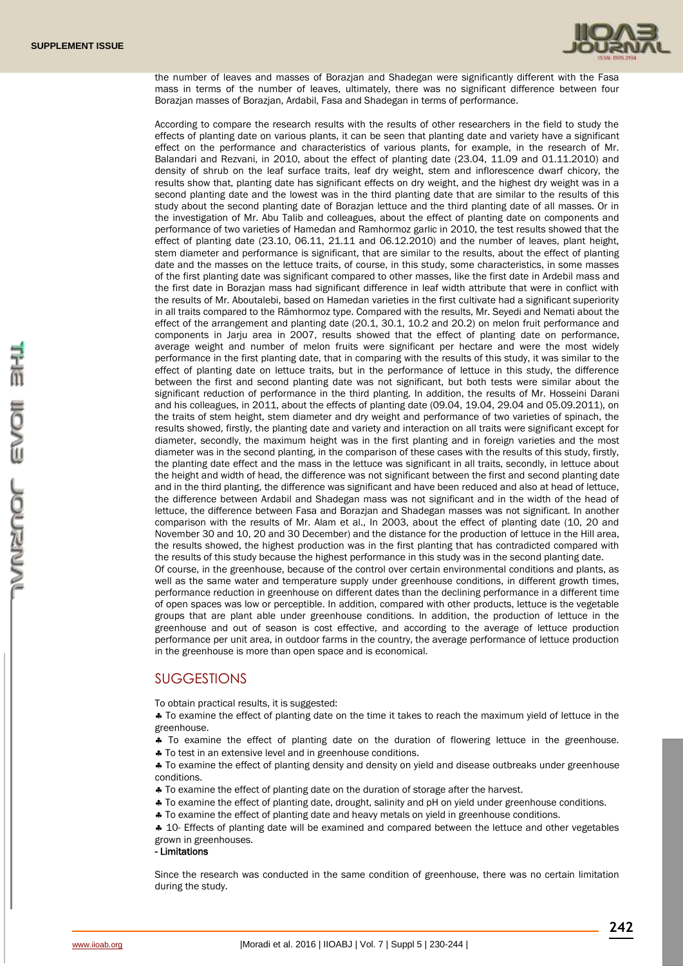

the number of leaves and masses of Borazjan and Shadegan were significantly different with the Fasa mass in terms of the number of leaves, ultimately, there was no significant difference between four Borazjan masses of Borazjan, Ardabil, Fasa and Shadegan in terms of performance.

According to compare the research results with the results of other researchers in the field to study the effects of planting date on various plants, it can be seen that planting date and variety have a significant effect on the performance and characteristics of various plants, for example, in the research of Mr. Balandari and Rezvani, in 2010, about the effect of planting date (23.04, 11.09 and 01.11.2010) and density of shrub on the leaf surface traits, leaf dry weight, stem and inflorescence dwarf chicory, the results show that, planting date has significant effects on dry weight, and the highest dry weight was in a second planting date and the lowest was in the third planting date that are similar to the results of this study about the second planting date of Borazjan lettuce and the third planting date of all masses. Or in the investigation of Mr. Abu Talib and colleagues, about the effect of planting date on components and performance of two varieties of Hamedan and Ramhormoz garlic in 2010, the test results showed that the effect of planting date (23.10, 06.11, 21.11 and 06.12.2010) and the number of leaves, plant height, stem diameter and performance is significant, that are similar to the results, about the effect of planting date and the masses on the lettuce traits, of course, in this study, some characteristics, in some masses of the first planting date was significant compared to other masses, like the first date in Ardebil mass and the first date in Borazjan mass had significant difference in leaf width attribute that were in conflict with the results of Mr. Aboutalebi, based on Hamedan varieties in the first cultivate had a significant superiority in all traits compared to the Rāmhormoz type. Compared with the results, Mr. Seyedi and Nemati about the effect of the arrangement and planting date (20.1, 30.1, 10.2 and 20.2) on melon fruit performance and components in Jarju area in 2007, results showed that the effect of planting date on performance, average weight and number of melon fruits were significant per hectare and were the most widely performance in the first planting date, that in comparing with the results of this study, it was similar to the effect of planting date on lettuce traits, but in the performance of lettuce in this study, the difference between the first and second planting date was not significant, but both tests were similar about the significant reduction of performance in the third planting. In addition, the results of Mr. Hosseini Darani and his colleagues, in 2011, about the effects of planting date (09.04, 19.04, 29.04 and 05.09.2011), on the traits of stem height, stem diameter and dry weight and performance of two varieties of spinach, the results showed, firstly, the planting date and variety and interaction on all traits were significant except for diameter, secondly, the maximum height was in the first planting and in foreign varieties and the most diameter was in the second planting, in the comparison of these cases with the results of this study, firstly, the planting date effect and the mass in the lettuce was significant in all traits, secondly, in lettuce about the height and width of head, the difference was not significant between the first and second planting date and in the third planting, the difference was significant and have been reduced and also at head of lettuce, the difference between Ardabil and Shadegan mass was not significant and in the width of the head of lettuce, the difference between Fasa and Borazjan and Shadegan masses was not significant. In another comparison with the results of Mr. Alam et al., In 2003, about the effect of planting date (10, 20 and November 30 and 10, 20 and 30 December) and the distance for the production of lettuce in the Hill area, the results showed, the highest production was in the first planting that has contradicted compared with the results of this study because the highest performance in this study was in the second planting date. Of course, in the greenhouse, because of the control over certain environmental conditions and plants, as well as the same water and temperature supply under greenhouse conditions, in different growth times, performance reduction in greenhouse on different dates than the declining performance in a different time of open spaces was low or perceptible. In addition, compared with other products, lettuce is the vegetable groups that are plant able under greenhouse conditions. In addition, the production of lettuce in the greenhouse and out of season is cost effective, and according to the average of lettuce production performance per unit area, in outdoor farms in the country, the average performance of lettuce production

## **SUGGESTIONS**

To obtain practical results, it is suggested:

 To examine the effect of planting date on the time it takes to reach the maximum yield of lettuce in the greenhouse.

\* To examine the effect of planting date on the duration of flowering lettuce in the greenhouse.

 $\clubsuit$  To test in an extensive level and in greenhouse conditions.

in the greenhouse is more than open space and is economical.

\* To examine the effect of planting density and density on yield and disease outbreaks under greenhouse conditions.

- To examine the effect of planting date on the duration of storage after the harvest.
- To examine the effect of planting date, drought, salinity and pH on yield under greenhouse conditions.

To examine the effect of planting date and heavy metals on yield in greenhouse conditions.

 $\div$  10- Effects of planting date will be examined and compared between the lettuce and other vegetables grown in greenhouses.

## - Limitations

Since the research was conducted in the same condition of greenhouse, there was no certain limitation during the study.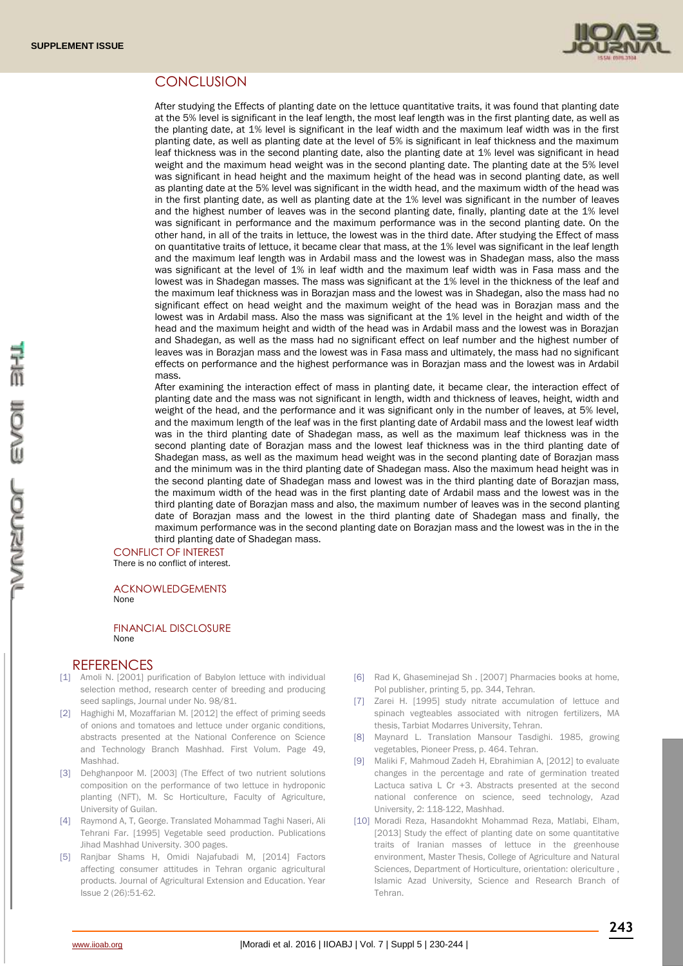

## **CONCLUSION**

After studying the Effects of planting date on the lettuce quantitative traits, it was found that planting date at the 5% level is significant in the leaf length, the most leaf length was in the first planting date, as well as the planting date, at 1% level is significant in the leaf width and the maximum leaf width was in the first planting date, as well as planting date at the level of 5% is significant in leaf thickness and the maximum leaf thickness was in the second planting date, also the planting date at 1% level was significant in head weight and the maximum head weight was in the second planting date. The planting date at the 5% level was significant in head height and the maximum height of the head was in second planting date, as well as planting date at the 5% level was significant in the width head, and the maximum width of the head was in the first planting date, as well as planting date at the 1% level was significant in the number of leaves and the highest number of leaves was in the second planting date, finally, planting date at the 1% level was significant in performance and the maximum performance was in the second planting date. On the other hand, in all of the traits in lettuce, the lowest was in the third date. After studying the Effect of mass on quantitative traits of lettuce, it became clear that mass, at the 1% level was significant in the leaf length and the maximum leaf length was in Ardabil mass and the lowest was in Shadegan mass, also the mass was significant at the level of 1% in leaf width and the maximum leaf width was in Fasa mass and the lowest was in Shadegan masses. The mass was significant at the 1% level in the thickness of the leaf and the maximum leaf thickness was in Borazjan mass and the lowest was in Shadegan, also the mass had no significant effect on head weight and the maximum weight of the head was in Borazjan mass and the lowest was in Ardabil mass. Also the mass was significant at the 1% level in the height and width of the head and the maximum height and width of the head was in Ardabil mass and the lowest was in Borazjan and Shadegan, as well as the mass had no significant effect on leaf number and the highest number of leaves was in Borazjan mass and the lowest was in Fasa mass and ultimately, the mass had no significant effects on performance and the highest performance was in Borazjan mass and the lowest was in Ardabil mass.

After examining the interaction effect of mass in planting date, it became clear, the interaction effect of planting date and the mass was not significant in length, width and thickness of leaves, height, width and weight of the head, and the performance and it was significant only in the number of leaves, at 5% level, and the maximum length of the leaf was in the first planting date of Ardabil mass and the lowest leaf width was in the third planting date of Shadegan mass, as well as the maximum leaf thickness was in the second planting date of Borazjan mass and the lowest leaf thickness was in the third planting date of Shadegan mass, as well as the maximum head weight was in the second planting date of Borazjan mass and the minimum was in the third planting date of Shadegan mass. Also the maximum head height was in the second planting date of Shadegan mass and lowest was in the third planting date of Borazjan mass, the maximum width of the head was in the first planting date of Ardabil mass and the lowest was in the third planting date of Borazjan mass and also, the maximum number of leaves was in the second planting date of Borazjan mass and the lowest in the third planting date of Shadegan mass and finally, the maximum performance was in the second planting date on Borazjan mass and the lowest was in the in the third planting date of Shadegan mass.

CONFLICT OF INTEREST There is no conflict of interest.

#### ACKNOWLEDGEMENTS None

#### FINANCIAL DISCLOSURE None

## **REFERENCES**

- [1] Amoli N. [2001] purification of Babylon lettuce with individual selection method, research center of breeding and producing seed saplings, Journal under No. 98/81.
- [2] Haghighi M, Mozaffarian M. [2012] the effect of priming seeds of onions and tomatoes and lettuce under organic conditions, abstracts presented at the National Conference on Science and Technology Branch Mashhad. First Volum. Page 49, Mashhad.
- [3] Dehghanpoor M. [2003] (The Effect of two nutrient solutions composition on the performance of two lettuce in hydroponic planting (NFT), M. Sc Horticulture, Faculty of Agriculture, University of Guilan.
- [4] Raymond A, T, George. Translated Mohammad Taghi Naseri, Ali Tehrani Far. [1995] Vegetable seed production. Publications Jihad Mashhad University. 300 pages.
- [5] Ranjbar Shams H, Omidi Najafubadi M, [2014] Factors affecting consumer attitudes in Tehran organic agricultural products. Journal of Agricultural Extension and Education. Year Issue 2 (26):51-62.
- [6] Rad K, Ghaseminejad Sh . [2007] Pharmacies books at home, Pol publisher, printing 5, pp. 344, Tehran.
- [7] Zarei H. [1995] study nitrate accumulation of lettuce and spinach vegteables associated with nitrogen fertilizers, MA thesis, Tarbiat Modarres University, Tehran.
- [8] Maynard L. Translation Mansour Tasdighi. 1985, growing vegetables, Pioneer Press, p. 464. Tehran.
- [9] Maliki F, Mahmoud Zadeh H, Ebrahimian A, [2012] to evaluate changes in the percentage and rate of germination treated Lactuca sativa L Cr +3. Abstracts presented at the second national conference on science, seed technology, Azad University, 2: 118-122, Mashhad.
- [10] Moradi Reza, Hasandokht Mohammad Reza, Matlabi, Elham, [2013] Study the effect of planting date on some quantitative traits of Iranian masses of lettuce in the greenhouse environment, Master Thesis, College of Agriculture and Natural Sciences, Department of Horticulture, orientation: olericulture , Islamic Azad University, Science and Research Branch of Tehran.